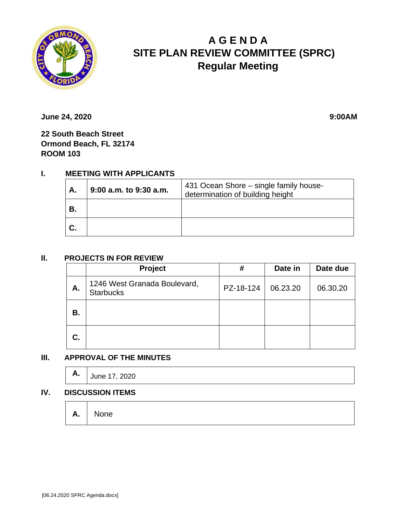

# **A G E N D A SITE PLAN REVIEW COMMITTEE (SPRC) Regular Meeting**

**June 24, 2020** 9:00AM

**22 South Beach Street Ormond Beach, FL 32174 ROOM 103**

## **I. MEETING WITH APPLICANTS**

| Α. | $9:00$ a.m. to $9:30$ a.m. | 431 Ocean Shore – single family house-<br>determination of building height |
|----|----------------------------|----------------------------------------------------------------------------|
| В. |                            |                                                                            |
|    |                            |                                                                            |

#### **II. PROJECTS IN FOR REVIEW**

|    | Project                                          | #         | Date in  | Date due |
|----|--------------------------------------------------|-----------|----------|----------|
| Α. | 1246 West Granada Boulevard,<br><b>Starbucks</b> | PZ-18-124 | 06.23.20 | 06.30.20 |
| В. |                                                  |           |          |          |
| C. |                                                  |           |          |          |

### **III. APPROVAL OF THE MINUTES**

|  | <b>A.</b> $\bigcup_{\text{June 17, 2020}}$ |  |  |  |  |
|--|--------------------------------------------|--|--|--|--|
|--|--------------------------------------------|--|--|--|--|

#### **IV. DISCUSSION ITEMS**

|  | $A.$ None |  |  |  |  |  |  |
|--|-----------|--|--|--|--|--|--|
|--|-----------|--|--|--|--|--|--|